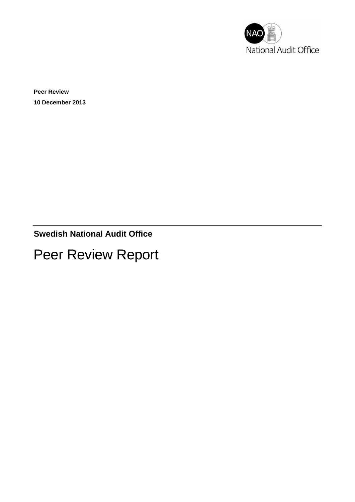

**Peer Review 10 December 2013**

**Swedish National Audit Office**

# Peer Review Report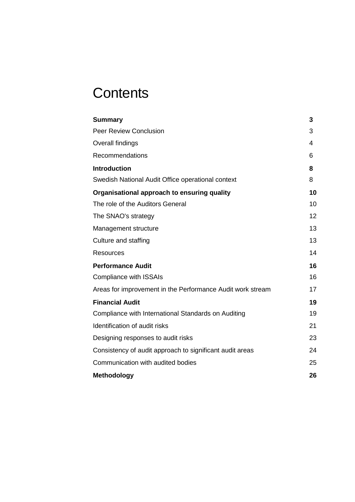# **Contents**

| <b>Summary</b>                                             | 3  |
|------------------------------------------------------------|----|
| <b>Peer Review Conclusion</b>                              | 3  |
| Overall findings                                           | 4  |
| Recommendations                                            | 6  |
| <b>Introduction</b>                                        | 8  |
| Swedish National Audit Office operational context          | 8  |
| Organisational approach to ensuring quality                | 10 |
| The role of the Auditors General                           | 10 |
| The SNAO's strategy                                        | 12 |
| Management structure                                       | 13 |
| Culture and staffing                                       | 13 |
| <b>Resources</b>                                           | 14 |
| <b>Performance Audit</b>                                   | 16 |
| <b>Compliance with ISSAIs</b>                              | 16 |
| Areas for improvement in the Performance Audit work stream | 17 |
| <b>Financial Audit</b>                                     | 19 |
| Compliance with International Standards on Auditing        | 19 |
| Identification of audit risks                              | 21 |
| Designing responses to audit risks                         | 23 |
| Consistency of audit approach to significant audit areas   | 24 |
| Communication with audited bodies                          | 25 |
| <b>Methodology</b>                                         | 26 |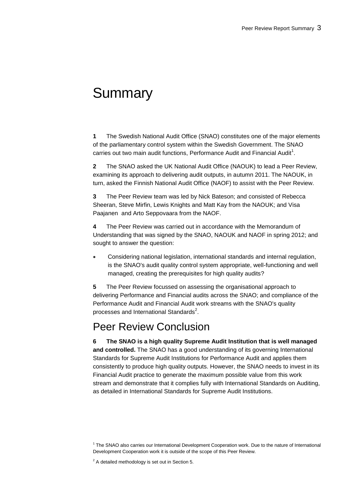# **Summary**

**1** The Swedish National Audit Office (SNAO) constitutes one of the major elements of the parliamentary control system within the Swedish Government. The SNAO carries out two main audit functions, Performance Audit and Financial Audit<sup>1</sup>.

**2** The SNAO asked the UK National Audit Office (NAOUK) to lead a Peer Review, examining its approach to delivering audit outputs, in autumn 2011. The NAOUK, in turn, asked the Finnish National Audit Office (NAOF) to assist with the Peer Review.

**3** The Peer Review team was led by Nick Bateson; and consisted of Rebecca Sheeran, Steve Mirfin, Lewis Knights and Matt Kay from the NAOUK; and Visa Paajanen and Arto Seppovaara from the NAOF.

**4** The Peer Review was carried out in accordance with the Memorandum of Understanding that was signed by the SNAO, NAOUK and NAOF in spring 2012; and sought to answer the question:

 Considering national legislation, international standards and internal regulation, is the SNAO's audit quality control system appropriate, well-functioning and well managed, creating the prerequisites for high quality audits?

**5** The Peer Review focussed on assessing the organisational approach to delivering Performance and Financial audits across the SNAO; and compliance of the Performance Audit and Financial Audit work streams with the SNAO's quality processes and International Standards<sup>2</sup>.

## Peer Review Conclusion

**6 The SNAO is a high quality Supreme Audit Institution that is well managed and controlled.** The SNAO has a good understanding of its governing International Standards for Supreme Audit Institutions for Performance Audit and applies them consistently to produce high quality outputs. However, the SNAO needs to invest in its Financial Audit practice to generate the maximum possible value from this work stream and demonstrate that it complies fully with International Standards on Auditing, as detailed in International Standards for Supreme Audit Institutions.

<sup>&</sup>lt;sup>1</sup> The SNAO also carries our International Development Cooperation work. Due to the nature of International Development Cooperation work it is outside of the scope of this Peer Review.

 $2$  A detailed methodology is set out in Section 5.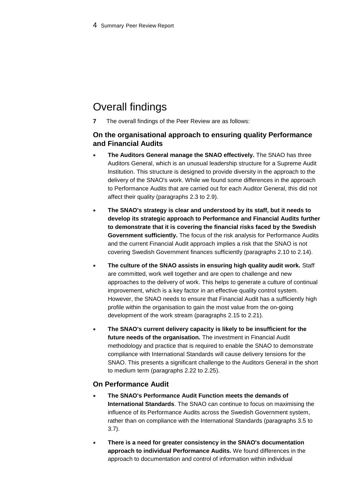# Overall findings

**7** The overall findings of the Peer Review are as follows:

#### **On the organisational approach to ensuring quality Performance and Financial Audits**

- **The Auditors General manage the SNAO effectively.** The SNAO has three Auditors General, which is an unusual leadership structure for a Supreme Audit Institution. This structure is designed to provide diversity in the approach to the delivery of the SNAO's work. While we found some differences in the approach to Performance Audits that are carried out for each Auditor General, this did not affect their quality (paragraphs 2.3 to 2.9).
- **The SNAO's strategy is clear and understood by its staff, but it needs to develop its strategic approach to Performance and Financial Audits further to demonstrate that it is covering the financial risks faced by the Swedish Government sufficiently.** The focus of the risk analysis for Performance Audits and the current Financial Audit approach implies a risk that the SNAO is not covering Swedish Government finances sufficiently (paragraphs 2.10 to 2.14).
- **The culture of the SNAO assists in ensuring high quality audit work.** Staff are committed, work well together and are open to challenge and new approaches to the delivery of work. This helps to generate a culture of continual improvement, which is a key factor in an effective quality control system. However, the SNAO needs to ensure that Financial Audit has a sufficiently high profile within the organisation to gain the most value from the on-going development of the work stream (paragraphs 2.15 to 2.21).
- **The SNAO's current delivery capacity is likely to be insufficient for the future needs of the organisation.** The investment in Financial Audit methodology and practice that is required to enable the SNAO to demonstrate compliance with International Standards will cause delivery tensions for the SNAO. This presents a significant challenge to the Auditors General in the short to medium term (paragraphs 2.22 to 2.25).

#### **On Performance Audit**

- **The SNAO's Performance Audit Function meets the demands of International Standards**. The SNAO can continue to focus on maximising the influence of its Performance Audits across the Swedish Government system, rather than on compliance with the International Standards (paragraphs 3.5 to 3.7).
- **There is a need for greater consistency in the SNAO's documentation approach to individual Performance Audits.** We found differences in the approach to documentation and control of information within individual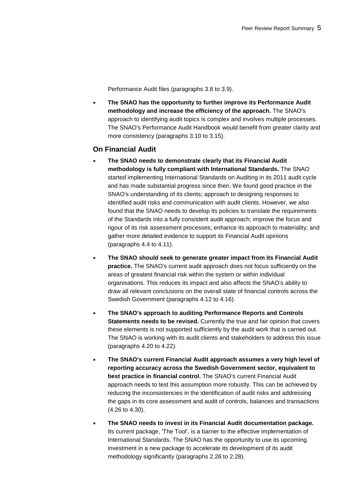Performance Audit files (paragraphs 3.8 to 3.9).

 **The SNAO has the opportunity to further improve its Performance Audit methodology and increase the efficiency of the approach.** The SNAO's approach to identifying audit topics is complex and involves multiple processes. The SNAO's Performance Audit Handbook would benefit from greater clarity and more consistency (paragraphs 3.10 to 3.15).

#### **On Financial Audit**

- **The SNAO needs to demonstrate clearly that its Financial Audit methodology is fully compliant with International Standards.** The SNAO started implementing International Standards on Auditing in its 2011 audit cycle and has made substantial progress since then. We found good practice in the SNAO's understanding of its clients; approach to designing responses to identified audit risks and communication with audit clients. However, we also found that the SNAO needs to develop its policies to translate the requirements of the Standards into a fully consistent audit approach; improve the focus and rigour of its risk assessment processes; enhance its approach to materiality; and gather more detailed evidence to support its Financial Audit opinions (paragraphs 4.4 to 4.11).
- **The SNAO should seek to generate greater impact from its Financial Audit practice.** The SNAO's current audit approach does not focus sufficiently on the areas of greatest financial risk within the system or within individual organisations. This reduces its impact and also affects the SNAO's ability to draw all relevant conclusions on the overall state of financial controls across the Swedish Government (paragraphs 4.12 to 4.16).
- **The SNAO's approach to auditing Performance Reports and Controls Statements needs to be revised.** Currently the true and fair opinion that covers these elements is not supported sufficiently by the audit work that is carried out. The SNAO is working with its audit clients and stakeholders to address this issue (paragraphs 4.20 to 4.22).
- **The SNAO's current Financial Audit approach assumes a very high level of reporting accuracy across the Swedish Government sector, equivalent to best practice in financial control.** The SNAO's current Financial Audit approach needs to test this assumption more robustly. This can be achieved by reducing the inconsistencies in the identification of audit risks and addressing the gaps in its core assessment and audit of controls, balances and transactions (4.26 to 4.30).
- **The SNAO needs to invest in its Financial Audit documentation package.** Its current package, 'The Tool', is a barrier to the effective implementation of International Standards. The SNAO has the opportunity to use its upcoming investment in a new package to accelerate its development of its audit methodology significantly (paragraphs 2.26 to 2.28).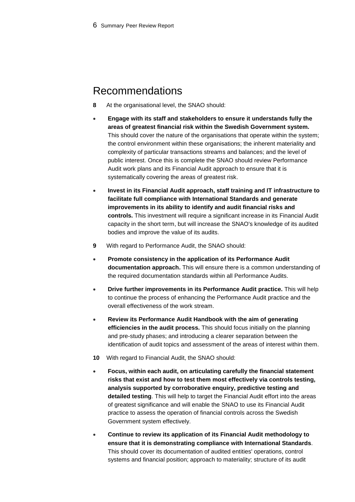## Recommendations

- **8** At the organisational level, the SNAO should:
- **Engage with its staff and stakeholders to ensure it understands fully the areas of greatest financial risk within the Swedish Government system.** This should cover the nature of the organisations that operate within the system; the control environment within these organisations; the inherent materiality and complexity of particular transactions streams and balances; and the level of public interest. Once this is complete the SNAO should review Performance Audit work plans and its Financial Audit approach to ensure that it is systematically covering the areas of greatest risk.
- **Invest in its Financial Audit approach, staff training and IT infrastructure to facilitate full compliance with International Standards and generate improvements in its ability to identify and audit financial risks and controls.** This investment will require a significant increase in its Financial Audit capacity in the short term, but will increase the SNAO's knowledge of its audited bodies and improve the value of its audits.
- **9** With regard to Performance Audit, the SNAO should:
- **Promote consistency in the application of its Performance Audit documentation approach.** This will ensure there is a common understanding of the required documentation standards within all Performance Audits.
- **Drive further improvements in its Performance Audit practice.** This will help to continue the process of enhancing the Performance Audit practice and the overall effectiveness of the work stream.
- **Review its Performance Audit Handbook with the aim of generating efficiencies in the audit process.** This should focus initially on the planning and pre-study phases; and introducing a clearer separation between the identification of audit topics and assessment of the areas of interest within them.
- **10** With regard to Financial Audit, the SNAO should:
- **Focus, within each audit, on articulating carefully the financial statement risks that exist and how to test them most effectively via controls testing, analysis supported by corroborative enquiry, predictive testing and detailed testing**. This will help to target the Financial Audit effort into the areas of greatest significance and will enable the SNAO to use its Financial Audit practice to assess the operation of financial controls across the Swedish Government system effectively.
- **Continue to review its application of its Financial Audit methodology to ensure that it is demonstrating compliance with International Standards**. This should cover its documentation of audited entities' operations, control systems and financial position; approach to materiality; structure of its audit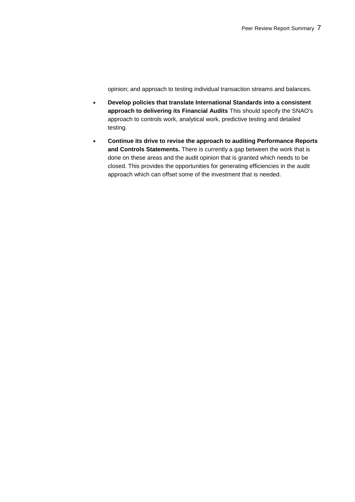opinion; and approach to testing individual transaction streams and balances.

- **Develop policies that translate International Standards into a consistent approach to delivering its Financial Audits** This should specify the SNAO's approach to controls work, analytical work, predictive testing and detailed testing.
- **Continue its drive to revise the approach to auditing Performance Reports and Controls Statements.** There is currently a gap between the work that is done on these areas and the audit opinion that is granted which needs to be closed. This provides the opportunities for generating efficiencies in the audit approach which can offset some of the investment that is needed.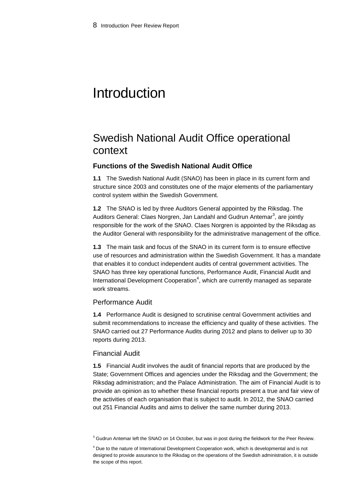# Introduction

# Swedish National Audit Office operational context

#### **Functions of the Swedish National Audit Office**

**1.1** The Swedish National Audit (SNAO) has been in place in its current form and structure since 2003 and constitutes one of the major elements of the parliamentary control system within the Swedish Government.

**1.2** The SNAO is led by three Auditors General appointed by the Riksdag. The Auditors General: Claes Norgren, Jan Landahl and Gudrun Antemar<sup>3</sup>, are jointly responsible for the work of the SNAO. Claes Norgren is appointed by the Riksdag as the Auditor General with responsibility for the administrative management of the office.

**1.3** The main task and focus of the SNAO in its current form is to ensure effective use of resources and administration within the Swedish Government. It has a mandate that enables it to conduct independent audits of central government activities. The SNAO has three key operational functions, Performance Audit, Financial Audit and International Development Cooperation<sup>4</sup>, which are currently managed as separate work streams.

#### Performance Audit

**1.4** Performance Audit is designed to scrutinise central Government activities and submit recommendations to increase the efficiency and quality of these activities. The SNAO carried out 27 Performance Audits during 2012 and plans to deliver up to 30 reports during 2013.

#### Financial Audit

**1.5** Financial Audit involves the audit of financial reports that are produced by the State; Government Offices and agencies under the Riksdag and the Government; the Riksdag administration; and the Palace Administration. The aim of Financial Audit is to provide an opinion as to whether these financial reports present a true and fair view of the activities of each organisation that is subject to audit. In 2012, the SNAO carried out 251 Financial Audits and aims to deliver the same number during 2013.

 $3$  Gudrun Antemar left the SNAO on 14 October, but was in post during the fieldwork for the Peer Review.

<sup>&</sup>lt;sup>4</sup> Due to the nature of International Development Cooperation work, which is developmental and is not designed to provide assurance to the Riksdag on the operations of the Swedish administration, it is outside the scope of this report.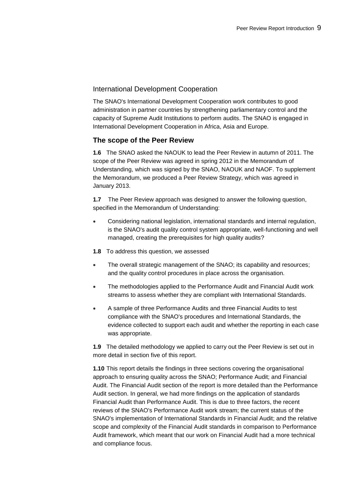#### International Development Cooperation

The SNAO's International Development Cooperation work contributes to good administration in partner countries by strengthening parliamentary control and the capacity of Supreme Audit Institutions to perform audits. The SNAO is engaged in International Development Cooperation in Africa, Asia and Europe.

#### **The scope of the Peer Review**

**1.6** The SNAO asked the NAOUK to lead the Peer Review in autumn of 2011. The scope of the Peer Review was agreed in spring 2012 in the Memorandum of Understanding, which was signed by the SNAO, NAOUK and NAOF. To supplement the Memorandum, we produced a Peer Review Strategy, which was agreed in January 2013.

**1.7** The Peer Review approach was designed to answer the following question, specified in the Memorandum of Understanding:

- Considering national legislation, international standards and internal regulation, is the SNAO's audit quality control system appropriate, well-functioning and well managed, creating the prerequisites for high quality audits?
- **1.8** To address this question, we assessed
- The overall strategic management of the SNAO; its capability and resources; and the quality control procedures in place across the organisation.
- The methodologies applied to the Performance Audit and Financial Audit work streams to assess whether they are compliant with International Standards.
- A sample of three Performance Audits and three Financial Audits to test compliance with the SNAO's procedures and International Standards, the evidence collected to support each audit and whether the reporting in each case was appropriate.

**1.9** The detailed methodology we applied to carry out the Peer Review is set out in more detail in section five of this report.

**1.10** This report details the findings in three sections covering the organisational approach to ensuring quality across the SNAO; Performance Audit; and Financial Audit. The Financial Audit section of the report is more detailed than the Performance Audit section. In general, we had more findings on the application of standards Financial Audit than Performance Audit. This is due to three factors, the recent reviews of the SNAO's Performance Audit work stream; the current status of the SNAO's implementation of International Standards in Financial Audit; and the relative scope and complexity of the Financial Audit standards in comparison to Performance Audit framework, which meant that our work on Financial Audit had a more technical and compliance focus.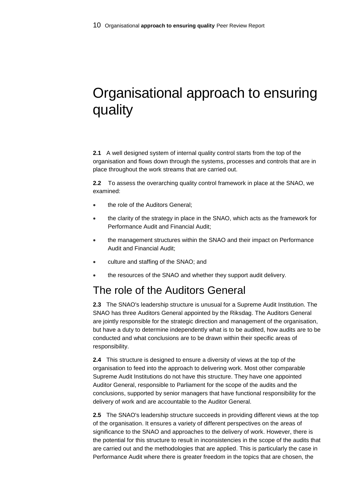# Organisational approach to ensuring quality

**2.1** A well designed system of internal quality control starts from the top of the organisation and flows down through the systems, processes and controls that are in place throughout the work streams that are carried out.

**2.2** To assess the overarching quality control framework in place at the SNAO, we examined:

- the role of the Auditors General;
- the clarity of the strategy in place in the SNAO, which acts as the framework for Performance Audit and Financial Audit;
- the management structures within the SNAO and their impact on Performance Audit and Financial Audit;
- culture and staffing of the SNAO; and
- the resources of the SNAO and whether they support audit delivery.

## The role of the Auditors General

**2.3** The SNAO's leadership structure is unusual for a Supreme Audit Institution. The SNAO has three Auditors General appointed by the Riksdag. The Auditors General are jointly responsible for the strategic direction and management of the organisation, but have a duty to determine independently what is to be audited, how audits are to be conducted and what conclusions are to be drawn within their specific areas of responsibility.

**2.4** This structure is designed to ensure a diversity of views at the top of the organisation to feed into the approach to delivering work. Most other comparable Supreme Audit Institutions do not have this structure. They have one appointed Auditor General, responsible to Parliament for the scope of the audits and the conclusions, supported by senior managers that have functional responsibility for the delivery of work and are accountable to the Auditor General.

**2.5** The SNAO's leadership structure succeeds in providing different views at the top of the organisation. It ensures a variety of different perspectives on the areas of significance to the SNAO and approaches to the delivery of work. However, there is the potential for this structure to result in inconsistencies in the scope of the audits that are carried out and the methodologies that are applied. This is particularly the case in Performance Audit where there is greater freedom in the topics that are chosen, the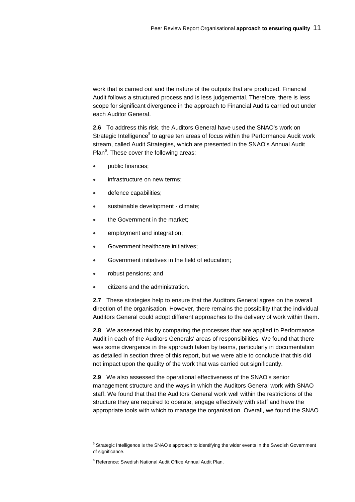work that is carried out and the nature of the outputs that are produced. Financial Audit follows a structured process and is less judgemental. Therefore, there is less scope for significant divergence in the approach to Financial Audits carried out under each Auditor General.

**2.6** To address this risk, the Auditors General have used the SNAO's work on Strategic Intelligence<sup>5</sup> to agree ten areas of focus within the Performance Audit work stream, called Audit Strategies, which are presented in the SNAO's Annual Audit Plan<sup>6</sup>. These cover the following areas:

- public finances;
- infrastructure on new terms;
- defence capabilities;
- sustainable development climate;
- the Government in the market;
- employment and integration;
- Government healthcare initiatives;
- Government initiatives in the field of education;
- robust pensions; and
- citizens and the administration.

**2.7** These strategies help to ensure that the Auditors General agree on the overall direction of the organisation. However, there remains the possibility that the individual Auditors General could adopt different approaches to the delivery of work within them.

**2.8** We assessed this by comparing the processes that are applied to Performance Audit in each of the Auditors Generals' areas of responsibilities. We found that there was some divergence in the approach taken by teams, particularly in documentation as detailed in section three of this report, but we were able to conclude that this did not impact upon the quality of the work that was carried out significantly.

**2.9** We also assessed the operational effectiveness of the SNAO's senior management structure and the ways in which the Auditors General work with SNAO staff. We found that that the Auditors General work well within the restrictions of the structure they are required to operate, engage effectively with staff and have the appropriate tools with which to manage the organisation. Overall, we found the SNAO

<sup>&</sup>lt;sup>5</sup> Strategic Intelligence is the SNAO's approach to identifying the wider events in the Swedish Government of significance.

<sup>&</sup>lt;sup>6</sup> Reference: Swedish National Audit Office Annual Audit Plan.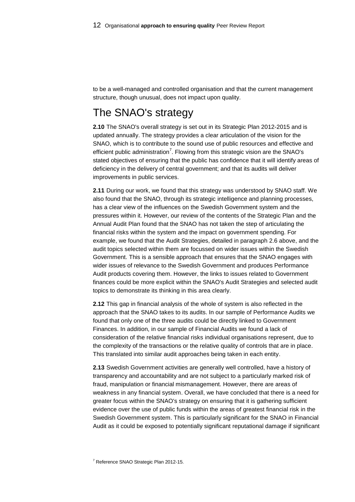to be a well-managed and controlled organisation and that the current management structure, though unusual, does not impact upon quality.

# The SNAO's strategy

**2.10** The SNAO's overall strategy is set out in its Strategic Plan 2012-2015 and is updated annually. The strategy provides a clear articulation of the vision for the SNAO, which is to contribute to the sound use of public resources and effective and efficient public administration<sup>7</sup>. Flowing from this strategic vision are the SNAO's stated objectives of ensuring that the public has confidence that it will identify areas of deficiency in the delivery of central government; and that its audits will deliver improvements in public services.

**2.11** During our work, we found that this strategy was understood by SNAO staff. We also found that the SNAO, through its strategic intelligence and planning processes, has a clear view of the influences on the Swedish Government system and the pressures within it. However, our review of the contents of the Strategic Plan and the Annual Audit Plan found that the SNAO has not taken the step of articulating the financial risks within the system and the impact on government spending. For example, we found that the Audit Strategies, detailed in paragraph 2.6 above, and the audit topics selected within them are focussed on wider issues within the Swedish Government. This is a sensible approach that ensures that the SNAO engages with wider issues of relevance to the Swedish Government and produces Performance Audit products covering them. However, the links to issues related to Government finances could be more explicit within the SNAO's Audit Strategies and selected audit topics to demonstrate its thinking in this area clearly.

**2.12** This gap in financial analysis of the whole of system is also reflected in the approach that the SNAO takes to its audits. In our sample of Performance Audits we found that only one of the three audits could be directly linked to Government Finances. In addition, in our sample of Financial Audits we found a lack of consideration of the relative financial risks individual organisations represent, due to the complexity of the transactions or the relative quality of controls that are in place. This translated into similar audit approaches being taken in each entity.

**2.13** Swedish Government activities are generally well controlled, have a history of transparency and accountability and are not subject to a particularly marked risk of fraud, manipulation or financial mismanagement. However, there are areas of weakness in any financial system. Overall, we have concluded that there is a need for greater focus within the SNAO's strategy on ensuring that it is gathering sufficient evidence over the use of public funds within the areas of greatest financial risk in the Swedish Government system. This is particularly significant for the SNAO in Financial Audit as it could be exposed to potentially significant reputational damage if significant

<sup>7</sup> Reference SNAO Strategic Plan 2012-15.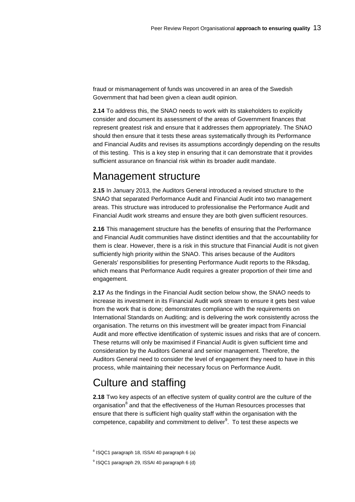fraud or mismanagement of funds was uncovered in an area of the Swedish Government that had been given a clean audit opinion.

**2.14** To address this, the SNAO needs to work with its stakeholders to explicitly consider and document its assessment of the areas of Government finances that represent greatest risk and ensure that it addresses them appropriately. The SNAO should then ensure that it tests these areas systematically through its Performance and Financial Audits and revises its assumptions accordingly depending on the results of this testing. This is a key step in ensuring that it can demonstrate that it provides sufficient assurance on financial risk within its broader audit mandate.

### Management structure

**2.15** In January 2013, the Auditors General introduced a revised structure to the SNAO that separated Performance Audit and Financial Audit into two management areas. This structure was introduced to professionalise the Performance Audit and Financial Audit work streams and ensure they are both given sufficient resources.

**2.16** This management structure has the benefits of ensuring that the Performance and Financial Audit communities have distinct identities and that the accountability for them is clear. However, there is a risk in this structure that Financial Audit is not given sufficiently high priority within the SNAO. This arises because of the Auditors Generals' responsibilities for presenting Performance Audit reports to the Riksdag, which means that Performance Audit requires a greater proportion of their time and engagement.

**2.17** As the findings in the Financial Audit section below show, the SNAO needs to increase its investment in its Financial Audit work stream to ensure it gets best value from the work that is done; demonstrates compliance with the requirements on International Standards on Auditing; and is delivering the work consistently across the organisation. The returns on this investment will be greater impact from Financial Audit and more effective identification of systemic issues and risks that are of concern. These returns will only be maximised if Financial Audit is given sufficient time and consideration by the Auditors General and senior management. Therefore, the Auditors General need to consider the level of engagement they need to have in this process, while maintaining their necessary focus on Performance Audit.

# Culture and staffing

**2.18** Two key aspects of an effective system of quality control are the culture of the organisation<sup>8</sup> and that the effectiveness of the Human Resources processes that ensure that there is sufficient high quality staff within the organisation with the competence, capability and commitment to deliver<sup>9</sup>. To test these aspects we

9 ISQC1 paragraph 29, ISSAI 40 paragraph 6 (d)

<sup>8</sup> ISQC1 paragraph 18, ISSAI 40 paragraph 6 (a)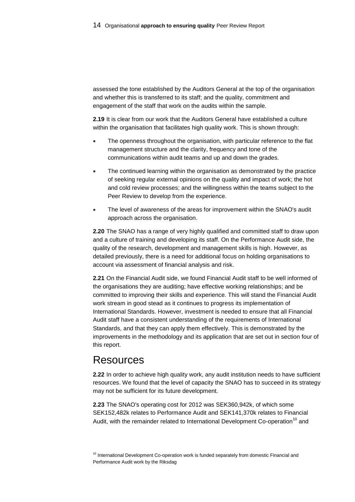assessed the tone established by the Auditors General at the top of the organisation and whether this is transferred to its staff; and the quality, commitment and engagement of the staff that work on the audits within the sample.

**2.19** It is clear from our work that the Auditors General have established a culture within the organisation that facilitates high quality work. This is shown through:

- The openness throughout the organisation, with particular reference to the flat management structure and the clarity, frequency and tone of the communications within audit teams and up and down the grades.
- The continued learning within the organisation as demonstrated by the practice of seeking regular external opinions on the quality and impact of work; the hot and cold review processes; and the willingness within the teams subject to the Peer Review to develop from the experience.
- The level of awareness of the areas for improvement within the SNAO's audit approach across the organisation.

**2.20** The SNAO has a range of very highly qualified and committed staff to draw upon and a culture of training and developing its staff. On the Performance Audit side, the quality of the research, development and management skills is high. However, as detailed previously, there is a need for additional focus on holding organisations to account via assessment of financial analysis and risk.

**2.21** On the Financial Audit side, we found Financial Audit staff to be well informed of the organisations they are auditing; have effective working relationships; and be committed to improving their skills and experience. This will stand the Financial Audit work stream in good stead as it continues to progress its implementation of International Standards. However, investment is needed to ensure that all Financial Audit staff have a consistent understanding of the requirements of International Standards, and that they can apply them effectively. This is demonstrated by the improvements in the methodology and its application that are set out in section four of this report.

### Resources

**2.22** In order to achieve high quality work, any audit institution needs to have sufficient resources. We found that the level of capacity the SNAO has to succeed in its strategy may not be sufficient for its future development.

**2.23** The SNAO's operating cost for 2012 was SEK360,942k, of which some SEK152,482k relates to Performance Audit and SEK141,370k relates to Financial Audit, with the remainder related to International Development Co-operation<sup>10</sup> and

<sup>&</sup>lt;sup>10</sup> International Development Co-operation work is funded separately from domestic Financial and Performance Audit work by the Riksdag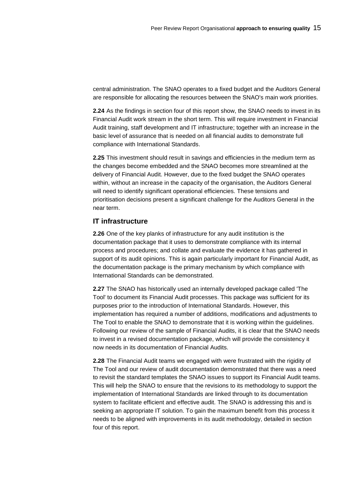central administration. The SNAO operates to a fixed budget and the Auditors General are responsible for allocating the resources between the SNAO's main work priorities.

**2.24** As the findings in section four of this report show, the SNAO needs to invest in its Financial Audit work stream in the short term. This will require investment in Financial Audit training, staff development and IT infrastructure; together with an increase in the basic level of assurance that is needed on all financial audits to demonstrate full compliance with International Standards.

**2.25** This investment should result in savings and efficiencies in the medium term as the changes become embedded and the SNAO becomes more streamlined at the delivery of Financial Audit. However, due to the fixed budget the SNAO operates within, without an increase in the capacity of the organisation, the Auditors General will need to identify significant operational efficiencies. These tensions and prioritisation decisions present a significant challenge for the Auditors General in the near term.

#### **IT infrastructure**

**2.26** One of the key planks of infrastructure for any audit institution is the documentation package that it uses to demonstrate compliance with its internal process and procedures; and collate and evaluate the evidence it has gathered in support of its audit opinions. This is again particularly important for Financial Audit, as the documentation package is the primary mechanism by which compliance with International Standards can be demonstrated.

**2.27** The SNAO has historically used an internally developed package called 'The Tool' to document its Financial Audit processes. This package was sufficient for its purposes prior to the introduction of International Standards. However, this implementation has required a number of additions, modifications and adjustments to The Tool to enable the SNAO to demonstrate that it is working within the guidelines. Following our review of the sample of Financial Audits, it is clear that the SNAO needs to invest in a revised documentation package, which will provide the consistency it now needs in its documentation of Financial Audits.

**2.28** The Financial Audit teams we engaged with were frustrated with the rigidity of The Tool and our review of audit documentation demonstrated that there was a need to revisit the standard templates the SNAO issues to support its Financial Audit teams. This will help the SNAO to ensure that the revisions to its methodology to support the implementation of International Standards are linked through to its documentation system to facilitate efficient and effective audit. The SNAO is addressing this and is seeking an appropriate IT solution. To gain the maximum benefit from this process it needs to be aligned with improvements in its audit methodology, detailed in section four of this report.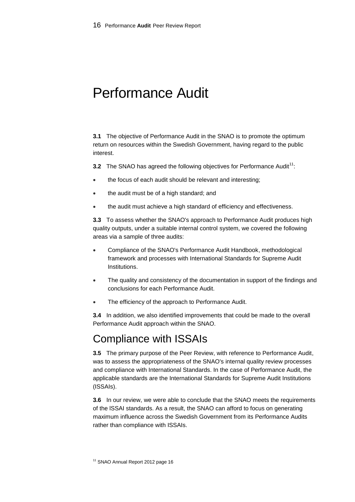# Performance Audit

**3.1** The objective of Performance Audit in the SNAO is to promote the optimum return on resources within the Swedish Government, having regard to the public interest.

**3.2** The SNAO has agreed the following objectives for Performance Audit<sup>11</sup>:

- the focus of each audit should be relevant and interesting;
- the audit must be of a high standard; and
- the audit must achieve a high standard of efficiency and effectiveness.

**3.3** To assess whether the SNAO's approach to Performance Audit produces high quality outputs, under a suitable internal control system, we covered the following areas via a sample of three audits:

- Compliance of the SNAO's Performance Audit Handbook, methodological framework and processes with International Standards for Supreme Audit Institutions.
- The quality and consistency of the documentation in support of the findings and conclusions for each Performance Audit.
- The efficiency of the approach to Performance Audit.

**3.4** In addition, we also identified improvements that could be made to the overall Performance Audit approach within the SNAO.

## Compliance with ISSAIs

**3.5** The primary purpose of the Peer Review, with reference to Performance Audit, was to assess the appropriateness of the SNAO's internal quality review processes and compliance with International Standards. In the case of Performance Audit, the applicable standards are the International Standards for Supreme Audit Institutions (ISSAIs).

**3.6** In our review, we were able to conclude that the SNAO meets the requirements of the lSSAI standards. As a result, the SNAO can afford to focus on generating maximum influence across the Swedish Government from its Performance Audits rather than compliance with ISSAIs.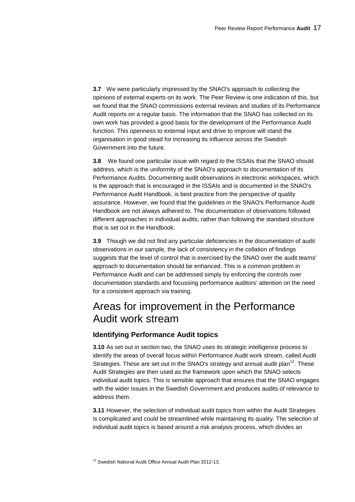**3.7** We were particularly impressed by the SNAO's approach to collecting the opinions of external experts on its work. The Peer Review is one indication of this, but we found that the SNAO commissions external reviews and studies of its Performance Audit reports on a regular basis. The information that the SNAO has collected on its own work has provided a good basis for the development of the Performance Audit function. This openness to external input and drive to improve will stand the organisation in good stead for increasing its influence across the Swedish Government into the future.

**3.8** We found one particular issue with regard to the ISSAIs that the SNAO should address, which is the uniformity of the SNAO's approach to documentation of its Performance Audits. Documenting audit observations in electronic workspaces, which is the approach that is encouraged in the ISSAIs and is documented in the SNAO's Performance Audit Handbook, is best practice from the perspective of quality assurance. However, we found that the guidelines in the SNAO's Performance Audit Handbook are not always adhered to. The documentation of observations followed different approaches in individual audits, rather than following the standard structure that is set out in the Handbook.

**3.9** Though we did not find any particular deficiencies in the documentation of audit observations in our sample, the lack of consistency in the collation of findings suggests that the level of control that is exercised by the SNAO over the audit teams' approach to documentation should be enhanced. This is a common problem in Performance Audit and can be addressed simply by enforcing the controls over documentation standards and focussing performance auditors' attention on the need for a consistent approach via training.

## Areas for improvement in the Performance Audit work stream

#### **Identifying Performance Audit topics**

**3.10** As set out in section two, the SNAO uses its strategic intelligence process to identify the areas of overall focus within Performance Audit work stream, called Audit Strategies. These are set out in the SNAO's strategy and annual audit plan<sup>12</sup>. These Audit Strategies are then used as the framework upon which the SNAO selects individual audit topics. This is sensible approach that ensures that the SNAO engages with the wider issues in the Swedish Government and produces audits of relevance to address them.

**3.11** However, the selection of individual audit topics from within the Audit Strategies is complicated and could be streamlined while maintaining its quality. The selection of individual audit topics is based around a risk analysis process, which divides an

<sup>&</sup>lt;sup>12</sup> Swedish National Audit Office Annual Audit Plan 2012-13.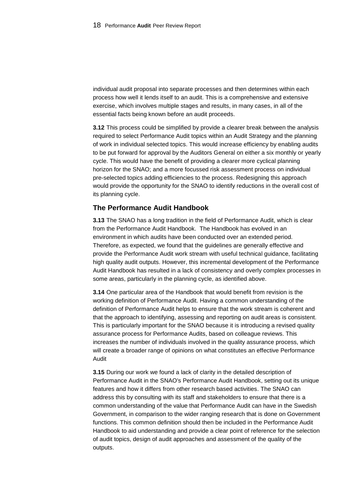individual audit proposal into separate processes and then determines within each process how well it lends itself to an audit. This is a comprehensive and extensive exercise, which involves multiple stages and results, in many cases, in all of the essential facts being known before an audit proceeds.

**3.12** This process could be simplified by provide a clearer break between the analysis required to select Performance Audit topics within an Audit Strategy and the planning of work in individual selected topics. This would increase efficiency by enabling audits to be put forward for approval by the Auditors General on either a six monthly or yearly cycle. This would have the benefit of providing a clearer more cyclical planning horizon for the SNAO; and a more focussed risk assessment process on individual pre-selected topics adding efficiencies to the process. Redesigning this approach would provide the opportunity for the SNAO to identify reductions in the overall cost of its planning cycle.

#### **The Performance Audit Handbook**

**3.13** The SNAO has a long tradition in the field of Performance Audit, which is clear from the Performance Audit Handbook. The Handbook has evolved in an environment in which audits have been conducted over an extended period. Therefore, as expected, we found that the guidelines are generally effective and provide the Performance Audit work stream with useful technical guidance, facilitating high quality audit outputs. However, this incremental development of the Performance Audit Handbook has resulted in a lack of consistency and overly complex processes in some areas, particularly in the planning cycle, as identified above.

**3.14** One particular area of the Handbook that would benefit from revision is the working definition of Performance Audit. Having a common understanding of the definition of Performance Audit helps to ensure that the work stream is coherent and that the approach to identifying, assessing and reporting on audit areas is consistent. This is particularly important for the SNAO because it is introducing a revised quality assurance process for Performance Audits, based on colleague reviews. This increases the number of individuals involved in the quality assurance process, which will create a broader range of opinions on what constitutes an effective Performance Audit

**3.15** During our work we found a lack of clarity in the detailed description of Performance Audit in the SNAO's Performance Audit Handbook, setting out its unique features and how it differs from other research based activities. The SNAO can address this by consulting with its staff and stakeholders to ensure that there is a common understanding of the value that Performance Audit can have in the Swedish Government, in comparison to the wider ranging research that is done on Government functions. This common definition should then be included in the Performance Audit Handbook to aid understanding and provide a clear point of reference for the selection of audit topics, design of audit approaches and assessment of the quality of the outputs.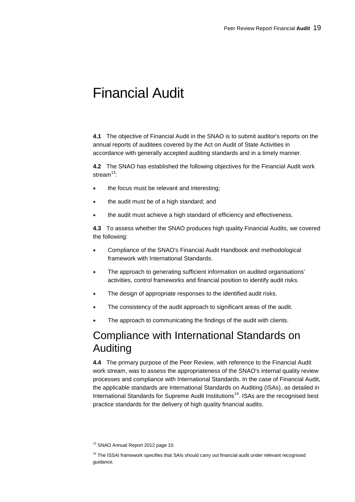# Financial Audit

**4.1** The objective of Financial Audit in the SNAO is to submit auditor's reports on the annual reports of auditees covered by the Act on Audit of State Activities in accordance with generally accepted auditing standards and in a timely manner.

**4.2** The SNAO has established the following objectives for the Financial Audit work stream $13$ .

- the focus must be relevant and interesting;
- the audit must be of a high standard; and
- the audit must achieve a high standard of efficiency and effectiveness.

**4.3** To assess whether the SNAO produces high quality Financial Audits, we covered the following:

- Compliance of the SNAO's Financial Audit Handbook and methodological framework with International Standards.
- The approach to generating sufficient information on audited organisations' activities, control frameworks and financial position to identify audit risks.
- The design of appropriate responses to the identified audit risks.
- The consistency of the audit approach to significant areas of the audit.
- The approach to communicating the findings of the audit with clients.

### Compliance with International Standards on Auditing

**4.4** The primary purpose of the Peer Review, with reference to the Financial Audit work stream, was to assess the appropriateness of the SNAO's internal quality review processes and compliance with International Standards. In the case of Financial Audit, the applicable standards are International Standards on Auditing (ISAs), as detailed in International Standards for Supreme Audit Institutions<sup>14</sup>. ISAs are the recognised best practice standards for the delivery of high quality financial audits.

<sup>&</sup>lt;sup>13</sup> SNAO Annual Report 2012 page 10.

<sup>&</sup>lt;sup>14</sup> The ISSAI framework specifies that SAIs should carry out financial audit under relevant recognised guidance.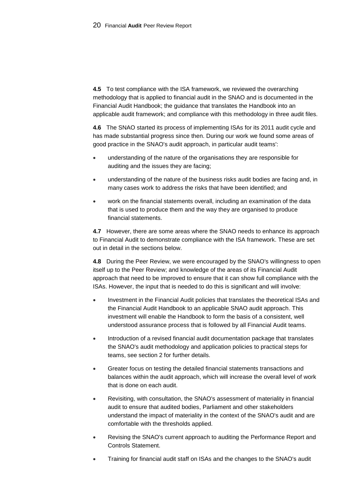**4.5** To test compliance with the ISA framework, we reviewed the overarching methodology that is applied to financial audit in the SNAO and is documented in the Financial Audit Handbook; the guidance that translates the Handbook into an applicable audit framework; and compliance with this methodology in three audit files.

**4.6** The SNAO started its process of implementing ISAs for its 2011 audit cycle and has made substantial progress since then. During our work we found some areas of good practice in the SNAO's audit approach, in particular audit teams':

- understanding of the nature of the organisations they are responsible for auditing and the issues they are facing;
- understanding of the nature of the business risks audit bodies are facing and, in many cases work to address the risks that have been identified; and
- work on the financial statements overall, including an examination of the data that is used to produce them and the way they are organised to produce financial statements.

**4.7** However, there are some areas where the SNAO needs to enhance its approach to Financial Audit to demonstrate compliance with the ISA framework. These are set out in detail in the sections below.

**4.8** During the Peer Review, we were encouraged by the SNAO's willingness to open itself up to the Peer Review; and knowledge of the areas of its Financial Audit approach that need to be improved to ensure that it can show full compliance with the ISAs. However, the input that is needed to do this is significant and will involve:

- Investment in the Financial Audit policies that translates the theoretical ISAs and the Financial Audit Handbook to an applicable SNAO audit approach. This investment will enable the Handbook to form the basis of a consistent, well understood assurance process that is followed by all Financial Audit teams.
- Introduction of a revised financial audit documentation package that translates the SNAO's audit methodology and application policies to practical steps for teams, see section 2 for further details.
- Greater focus on testing the detailed financial statements transactions and balances within the audit approach, which will increase the overall level of work that is done on each audit.
- Revisiting, with consultation, the SNAO's assessment of materiality in financial audit to ensure that audited bodies, Parliament and other stakeholders understand the impact of materiality in the context of the SNAO's audit and are comfortable with the thresholds applied.
- Revising the SNAO's current approach to auditing the Performance Report and Controls Statement.
- Training for financial audit staff on ISAs and the changes to the SNAO's audit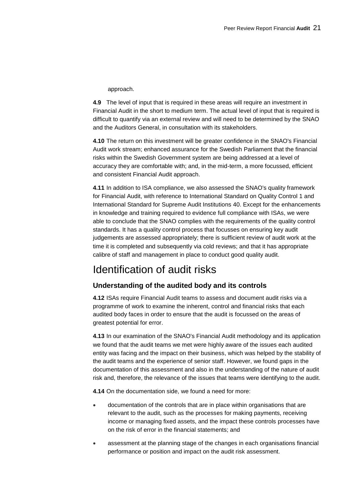approach.

**4.9** The level of input that is required in these areas will require an investment in Financial Audit in the short to medium term. The actual level of input that is required is difficult to quantify via an external review and will need to be determined by the SNAO and the Auditors General, in consultation with its stakeholders.

**4.10** The return on this investment will be greater confidence in the SNAO's Financial Audit work stream; enhanced assurance for the Swedish Parliament that the financial risks within the Swedish Government system are being addressed at a level of accuracy they are comfortable with; and, in the mid-term, a more focussed, efficient and consistent Financial Audit approach.

**4.11** In addition to ISA compliance, we also assessed the SNAO's quality framework for Financial Audit, with reference to International Standard on Quality Control 1 and International Standard for Supreme Audit Institutions 40. Except for the enhancements in knowledge and training required to evidence full compliance with ISAs, we were able to conclude that the SNAO complies with the requirements of the quality control standards. It has a quality control process that focusses on ensuring key audit judgements are assessed appropriately; there is sufficient review of audit work at the time it is completed and subsequently via cold reviews; and that it has appropriate calibre of staff and management in place to conduct good quality audit.

### Identification of audit risks

#### **Understanding of the audited body and its controls**

**4.12** ISAs require Financial Audit teams to assess and document audit risks via a programme of work to examine the inherent, control and financial risks that each audited body faces in order to ensure that the audit is focussed on the areas of greatest potential for error.

**4.13** In our examination of the SNAO's Financial Audit methodology and its application we found that the audit teams we met were highly aware of the issues each audited entity was facing and the impact on their business, which was helped by the stability of the audit teams and the experience of senior staff. However, we found gaps in the documentation of this assessment and also in the understanding of the nature of audit risk and, therefore, the relevance of the issues that teams were identifying to the audit.

**4.14** On the documentation side, we found a need for more:

- documentation of the controls that are in place within organisations that are relevant to the audit, such as the processes for making payments, receiving income or managing fixed assets, and the impact these controls processes have on the risk of error in the financial statements; and
- assessment at the planning stage of the changes in each organisations financial performance or position and impact on the audit risk assessment.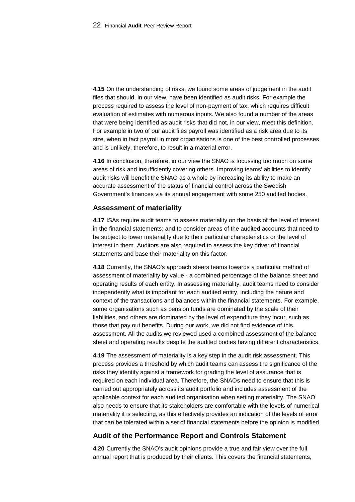**4.15** On the understanding of risks, we found some areas of judgement in the audit files that should, in our view, have been identified as audit risks. For example the process required to assess the level of non-payment of tax, which requires difficult evaluation of estimates with numerous inputs. We also found a number of the areas that were being identified as audit risks that did not, in our view, meet this definition. For example in two of our audit files payroll was identified as a risk area due to its size, when in fact payroll in most organisations is one of the best controlled processes and is unlikely, therefore, to result in a material error.

**4.16** In conclusion, therefore, in our view the SNAO is focussing too much on some areas of risk and insufficiently covering others. Improving teams' abilities to identify audit risks will benefit the SNAO as a whole by increasing its ability to make an accurate assessment of the status of financial control across the Swedish Government's finances via its annual engagement with some 250 audited bodies.

#### **Assessment of materiality**

**4.17** ISAs require audit teams to assess materiality on the basis of the level of interest in the financial statements; and to consider areas of the audited accounts that need to be subject to lower materiality due to their particular characteristics or the level of interest in them. Auditors are also required to assess the key driver of financial statements and base their materiality on this factor.

**4.18** Currently, the SNAO's approach steers teams towards a particular method of assessment of materiality by value - a combined percentage of the balance sheet and operating results of each entity. In assessing materiality, audit teams need to consider independently what is important for each audited entity, including the nature and context of the transactions and balances within the financial statements. For example, some organisations such as pension funds are dominated by the scale of their liabilities, and others are dominated by the level of expenditure they incur, such as those that pay out benefits. During our work, we did not find evidence of this assessment. All the audits we reviewed used a combined assessment of the balance sheet and operating results despite the audited bodies having different characteristics.

**4.19** The assessment of materiality is a key step in the audit risk assessment. This process provides a threshold by which audit teams can assess the significance of the risks they identify against a framework for grading the level of assurance that is required on each individual area. Therefore, the SNAOs need to ensure that this is carried out appropriately across its audit portfolio and includes assessment of the applicable context for each audited organisation when setting materiality. The SNAO also needs to ensure that its stakeholders are comfortable with the levels of numerical materiality it is selecting, as this effectively provides an indication of the levels of error that can be tolerated within a set of financial statements before the opinion is modified.

#### **Audit of the Performance Report and Controls Statement**

**4.20** Currently the SNAO's audit opinions provide a true and fair view over the full annual report that is produced by their clients. This covers the financial statements,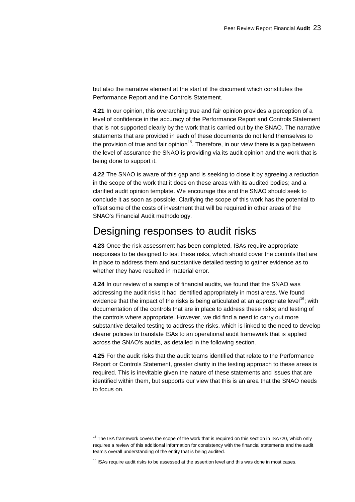but also the narrative element at the start of the document which constitutes the Performance Report and the Controls Statement.

**4.21** In our opinion, this overarching true and fair opinion provides a perception of a level of confidence in the accuracy of the Performance Report and Controls Statement that is not supported clearly by the work that is carried out by the SNAO. The narrative statements that are provided in each of these documents do not lend themselves to the provision of true and fair opinion<sup>15</sup>. Therefore, in our view there is a gap between the level of assurance the SNAO is providing via its audit opinion and the work that is being done to support it.

**4.22** The SNAO is aware of this gap and is seeking to close it by agreeing a reduction in the scope of the work that it does on these areas with its audited bodies; and a clarified audit opinion template. We encourage this and the SNAO should seek to conclude it as soon as possible. Clarifying the scope of this work has the potential to offset some of the costs of investment that will be required in other areas of the SNAO's Financial Audit methodology.

### Designing responses to audit risks

**4.23** Once the risk assessment has been completed, ISAs require appropriate responses to be designed to test these risks, which should cover the controls that are in place to address them and substantive detailed testing to gather evidence as to whether they have resulted in material error.

**4.24** In our review of a sample of financial audits, we found that the SNAO was addressing the audit risks it had identified appropriately in most areas. We found evidence that the impact of the risks is being articulated at an appropriate level<sup>16</sup>; with documentation of the controls that are in place to address these risks; and testing of the controls where appropriate. However, we did find a need to carry out more substantive detailed testing to address the risks, which is linked to the need to develop clearer policies to translate ISAs to an operational audit framework that is applied across the SNAO's audits, as detailed in the following section.

**4.25** For the audit risks that the audit teams identified that relate to the Performance Report or Controls Statement, greater clarity in the testing approach to these areas is required. This is inevitable given the nature of these statements and issues that are identified within them, but supports our view that this is an area that the SNAO needs to focus on.

<sup>&</sup>lt;sup>15</sup> The ISA framework covers the scope of the work that is required on this section in ISA720, which only requires a review of this additional information for consistency with the financial statements and the audit team's overall understanding of the entity that is being audited.

 $16$  ISAs require audit risks to be assessed at the assertion level and this was done in most cases.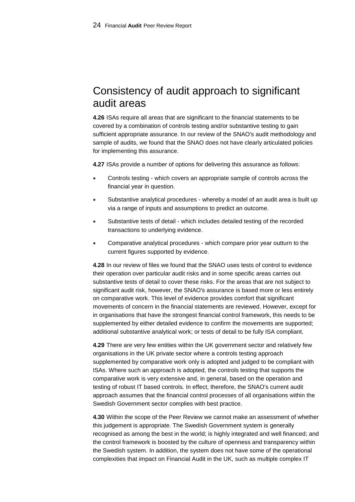## Consistency of audit approach to significant audit areas

**4.26** ISAs require all areas that are significant to the financial statements to be covered by a combination of controls testing and/or substantive testing to gain sufficient appropriate assurance. In our review of the SNAO's audit methodology and sample of audits, we found that the SNAO does not have clearly articulated policies for implementing this assurance.

**4.27** ISAs provide a number of options for delivering this assurance as follows:

- Controls testing which covers an appropriate sample of controls across the financial year in question.
- Substantive analytical procedures whereby a model of an audit area is built up via a range of inputs and assumptions to predict an outcome.
- Substantive tests of detail which includes detailed testing of the recorded transactions to underlying evidence.
- Comparative analytical procedures which compare prior year outturn to the current figures supported by evidence.

**4.28** In our review of files we found that the SNAO uses tests of control to evidence their operation over particular audit risks and in some specific areas carries out substantive tests of detail to cover these risks. For the areas that are not subject to significant audit risk, however, the SNAO's assurance is based more or less entirely on comparative work. This level of evidence provides comfort that significant movements of concern in the financial statements are reviewed. However, except for in organisations that have the strongest financial control framework, this needs to be supplemented by either detailed evidence to confirm the movements are supported; additional substantive analytical work; or tests of detail to be fully ISA compliant.

**4.29** There are very few entities within the UK government sector and relatively few organisations in the UK private sector where a controls testing approach supplemented by comparative work only is adopted and judged to be compliant with ISAs. Where such an approach is adopted, the controls testing that supports the comparative work is very extensive and, in general, based on the operation and testing of robust IT based controls. In effect, therefore, the SNAO's current audit approach assumes that the financial control processes of all organisations within the Swedish Government sector complies with best practice.

**4.30** Within the scope of the Peer Review we cannot make an assessment of whether this judgement is appropriate. The Swedish Government system is generally recognised as among the best in the world; is highly integrated and well financed; and the control framework is boosted by the culture of openness and transparency within the Swedish system. In addition, the system does not have some of the operational complexities that impact on Financial Audit in the UK, such as multiple complex IT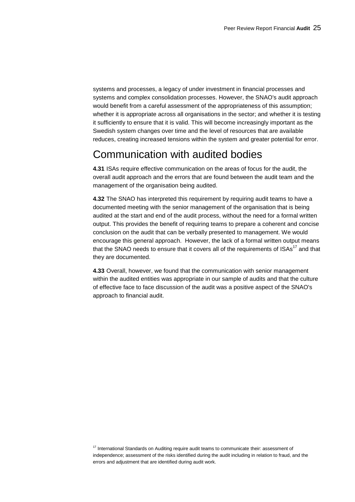systems and processes, a legacy of under investment in financial processes and systems and complex consolidation processes. However, the SNAO's audit approach would benefit from a careful assessment of the appropriateness of this assumption; whether it is appropriate across all organisations in the sector; and whether it is testing it sufficiently to ensure that it is valid. This will become increasingly important as the Swedish system changes over time and the level of resources that are available reduces, creating increased tensions within the system and greater potential for error.

## Communication with audited bodies

**4.31** ISAs require effective communication on the areas of focus for the audit, the overall audit approach and the errors that are found between the audit team and the management of the organisation being audited.

**4.32** The SNAO has interpreted this requirement by requiring audit teams to have a documented meeting with the senior management of the organisation that is being audited at the start and end of the audit process, without the need for a formal written output. This provides the benefit of requiring teams to prepare a coherent and concise conclusion on the audit that can be verbally presented to management. We would encourage this general approach. However, the lack of a formal written output means that the SNAO needs to ensure that it covers all of the requirements of  $ISAs<sup>17</sup>$  and that they are documented.

**4.33** Overall, however, we found that the communication with senior management within the audited entities was appropriate in our sample of audits and that the culture of effective face to face discussion of the audit was a positive aspect of the SNAO's approach to financial audit.

<sup>&</sup>lt;sup>17</sup> International Standards on Auditing require audit teams to communicate their: assessment of independence; assessment of the risks identified during the audit including in relation to fraud, and the errors and adjustment that are identified during audit work.